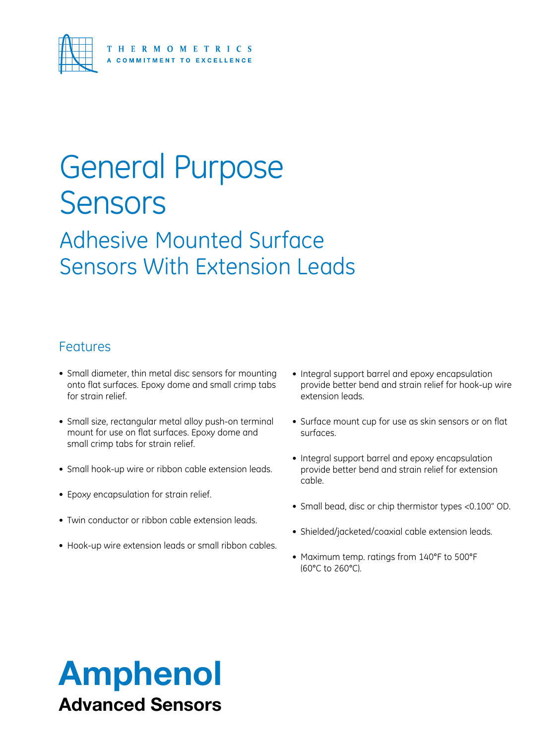

### General Purpose Sensors

### Adhesive Mounted Surface Sensors With Extension Leads

#### Features

- Small diameter, thin metal disc sensors for mounting onto flat surfaces. Epoxy dome and small crimp tabs for strain relief.
- Small size, rectangular metal alloy push-on terminal mount for use on flat surfaces. Epoxy dome and small crimp tabs for strain relief.
- Small hook-up wire or ribbon cable extension leads.
- • Epoxy encapsulation for strain relief.
- Twin conductor or ribbon cable extension leads.
- Hook-up wire extension leads or small ribbon cables.
- Integral support barrel and epoxy encapsulation provide better bend and strain relief for hook-up wire extension leads.
- Surface mount cup for use as skin sensors or on flat surfaces.
- Integral support barrel and epoxy encapsulation provide better bend and strain relief for extension cable.
- • Small bead, disc or chip thermistor types <0.100" OD.
- Shielded/jacketed/coaxial cable extension leads.
- Maximum temp. ratings from 140°F to 500°F (60°C to 260°C).

### Amphenol Advanced Sensors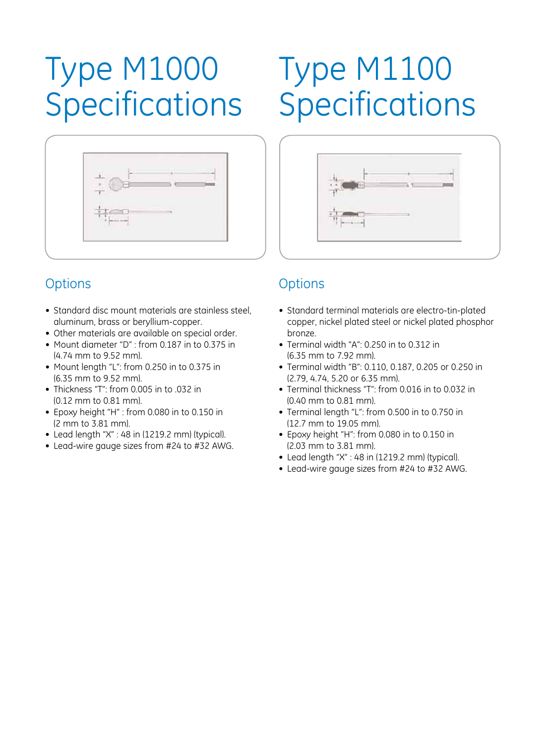## Type M1000 Specifications

## Type M1100 Specifications



### **Options**

- Standard disc mount materials are stainless steel, aluminum, brass or beryllium-copper.
- • Other materials are available on special order.
- Mount diameter "D" : from 0.187 in to 0.375 in (4.74 mm to 9.52 mm).
- • Mount length "L": from 0.250 in to 0.375 in (6.35 mm to 9.52 mm).
- Thickness "T": from 0.005 in to .032 in (0.12 mm to 0.81 mm).
- • Epoxy height "H" : from 0.080 in to 0.150 in (2 mm to 3.81 mm).
- Lead length "X" : 48 in (1219.2 mm) (typical).
- Lead-wire gauge sizes from #24 to #32 AWG.



#### **Options**

- Standard terminal materials are electro-tin-plated copper, nickel plated steel or nickel plated phosphor bronze.
- • Terminal width "A": 0.250 in to 0.312 in (6.35 mm to 7.92 mm).
- • Terminal width "B": 0.110, 0.187, 0.205 or 0.250 in (2.79, 4.74, 5.20 or 6.35 mm).
- Terminal thickness "T": from 0.016 in to 0.032 in (0.40 mm to 0.81 mm).
- Terminal length "L": from 0.500 in to 0.750 in (12.7 mm to 19.05 mm).
- Epoxy height "H": from 0.080 in to 0.150 in (2.03 mm to 3.81 mm).
- Lead length "X" : 48 in (1219.2 mm) (typical).
- Lead-wire gauge sizes from #24 to #32 AWG.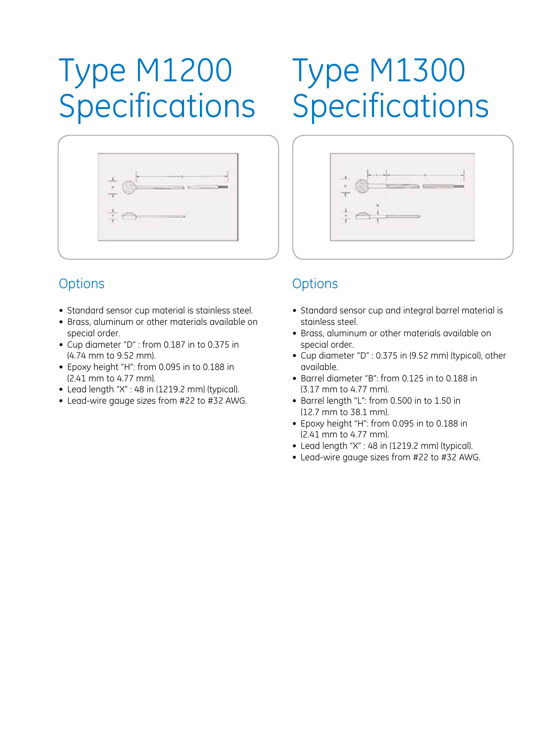## Type M1200 **Specifications**



#### **Options**

- Standard sensor cup material is stainless steel.
- Brass, aluminum or other materials available on special order.
- • Cup diameter "D" : from 0.187 in to 0.375 in (4.74 mm to 9.52 mm).
- • Epoxy height "H": from 0.095 in to 0.188 in (2.41 mm to 4.77 mm).
- Lead length "X" : 48 in (1219.2 mm) (typical).
- Lead-wire gauge sizes from #22 to #32 AWG.

## Type M1300 **Specifications**



#### **Options**

- Standard sensor cup and integral barrel material is stainless steel.
- Brass, aluminum or other materials available on special order.
- • Cup diameter "D" : 0.375 in (9.52 mm) (typical), other available.
- • Barrel diameter "B": from 0.125 in to 0.188 in (3.17 mm to 4.77 mm).
- Barrel length "L": from 0.500 in to 1.50 in (12.7 mm to 38.1 mm).
- • Epoxy height "H": from 0.095 in to 0.188 in (2.41 mm to 4.77 mm).
- $\bullet$  Lead length "X" : 48 in (1219.2 mm) (typical).
- Lead-wire gauge sizes from #22 to #32 AWG.